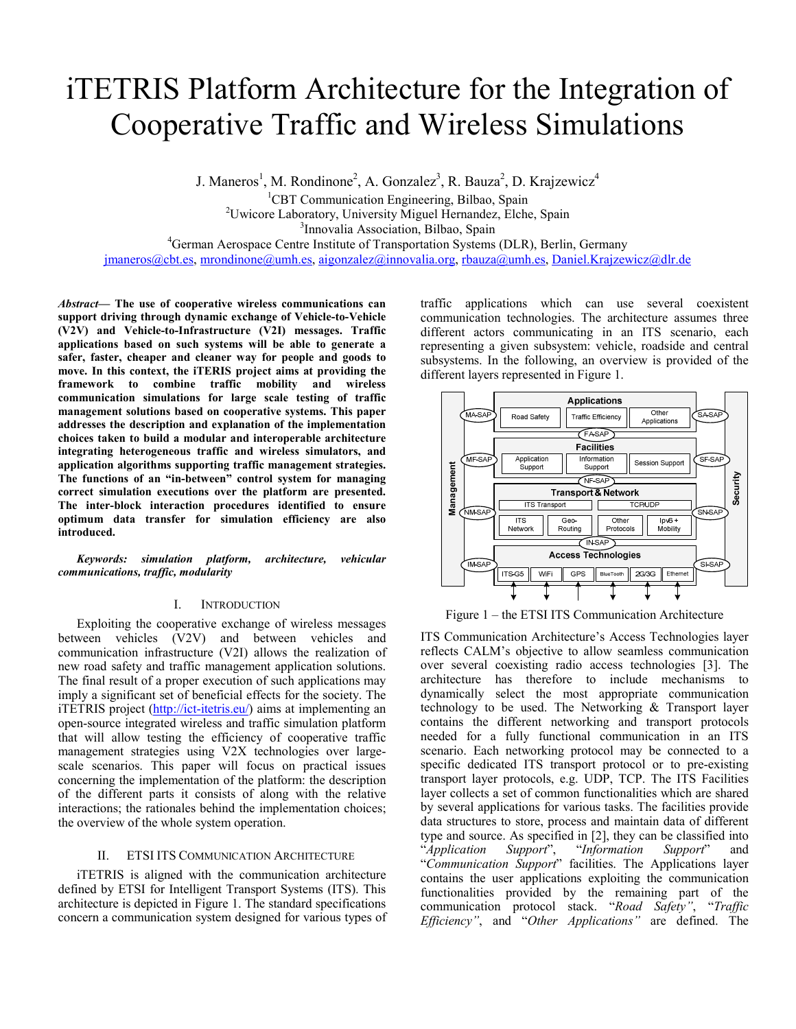# iTETRIS Platform Architecture for the Integration of Cooperative Traffic and Wireless Simulations

J. Maneros<sup>1</sup>, M. Rondinone<sup>2</sup>, A. Gonzalez<sup>3</sup>, R. Bauza<sup>2</sup>, D. Krajzewicz<sup>4</sup>

<sup>1</sup>CBT Communication Engineering, Bilbao, Spain

<sup>2</sup>Uwicore Laboratory, University Miguel Hernandez, Elche, Spain

<sup>3</sup>Innovalia Association, Bilbao, Spain

<sup>4</sup>German Aerospace Centre Institute of Transportation Systems (DLR), Berlin, Germany

jmaneros@cbt.es, mrondinone@umh.es, aigonzalez@innovalia.org, rbauza@umh.es, Daniel.Krajzewicz@dlr.de

Abstract— The use of cooperative wireless communications can support driving through dynamic exchange of Vehicle-to-Vehicle (V2V) and Vehicle-to-Infrastructure (V2I) messages. Traffic applications based on such systems will be able to generate a safer, faster, cheaper and cleaner way for people and goods to move. In this context, the iTERIS project aims at providing the framework to combine traffic mobility and wireless communication simulations for large scale testing of traffic management solutions based on cooperative systems. This paper addresses the description and explanation of the implementation choices taken to build a modular and interoperable architecture integrating heterogeneous traffic and wireless simulators, and application algorithms supporting traffic management strategies. The functions of an "in-between" control system for managing correct simulation executions over the platform are presented. The inter-block interaction procedures identified to ensure optimum data transfer for simulation efficiency are also introduced.

Keywords: simulation platform, architecture, vehicular communications, traffic, modularity

## I. INTRODUCTION

Exploiting the cooperative exchange of wireless messages between vehicles (V2V) and between vehicles and communication infrastructure (V2I) allows the realization of new road safety and traffic management application solutions. The final result of a proper execution of such applications may imply a significant set of beneficial effects for the society. The iTETRIS project (http://ict-itetris.eu/) aims at implementing an open-source integrated wireless and traffic simulation platform that will allow testing the efficiency of cooperative traffic management strategies using V2X technologies over largescale scenarios. This paper will focus on practical issues concerning the implementation of the platform: the description of the different parts it consists of along with the relative interactions; the rationales behind the implementation choices; the overview of the whole system operation.

## II. ETSI ITS COMMUNICATION ARCHITECTURE

iTETRIS is aligned with the communication architecture defined by ETSI for Intelligent Transport Systems (ITS). This architecture is depicted in Figure 1. The standard specifications concern a communication system designed for various types of traffic applications which can use several coexistent communication technologies. The architecture assumes three different actors communicating in an ITS scenario, each representing a given subsystem: vehicle, roadside and central subsystems. In the following, an overview is provided of the different layers represented in Figure 1.



Figure 1 – the ETSI ITS Communication Architecture

ITS Communication Architecture's Access Technologies layer reflects CALM's objective to allow seamless communication over several coexisting radio access technologies [3]. The architecture has therefore to include mechanisms to dynamically select the most appropriate communication technology to be used. The Networking & Transport layer contains the different networking and transport protocols needed for a fully functional communication in an ITS scenario. Each networking protocol may be connected to a specific dedicated ITS transport protocol or to pre-existing transport layer protocols, e.g. UDP, TCP. The ITS Facilities layer collects a set of common functionalities which are shared by several applications for various tasks. The facilities provide data structures to store, process and maintain data of different type and source. As specified in [2], they can be classified into "Application Support", "Information Support" and "Communication Support" facilities. The Applications layer contains the user applications exploiting the communication functionalities provided by the remaining part of the communication protocol stack. "Road Safety", "Traffic Efficiency", and "Other Applications" are defined. The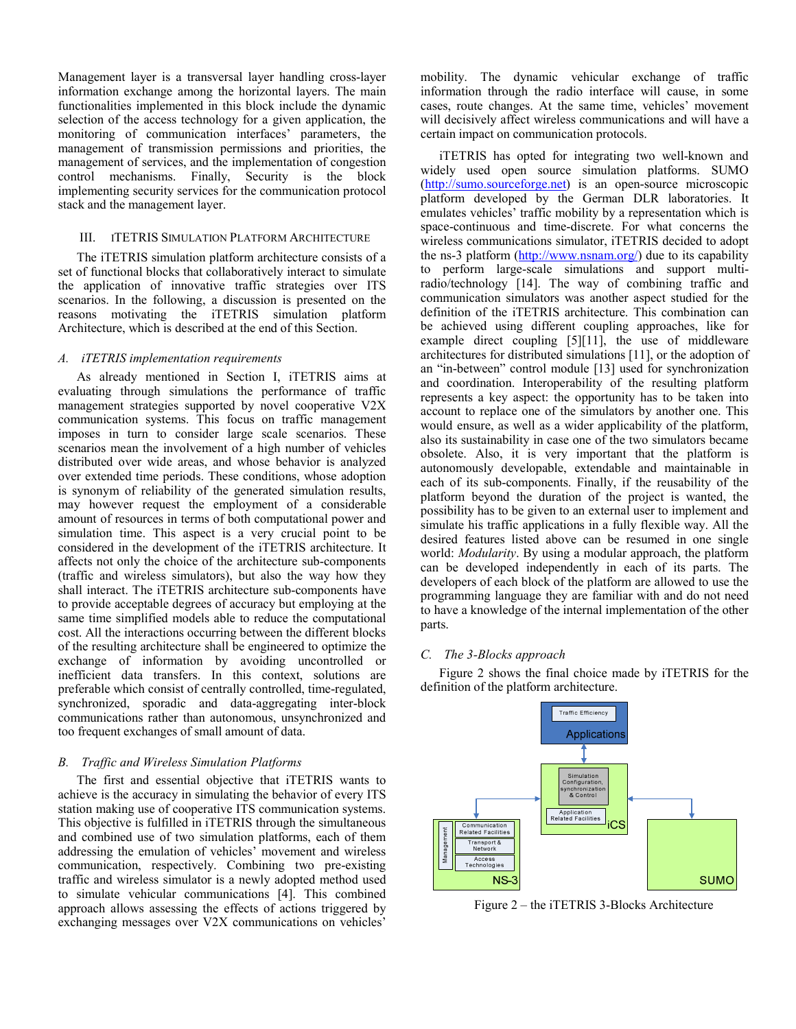Management layer is a transversal layer handling cross-layer information exchange among the horizontal layers. The main functionalities implemented in this block include the dynamic selection of the access technology for a given application, the monitoring of communication interfaces' parameters, the management of transmission permissions and priorities, the management of services, and the implementation of congestion control mechanisms. Finally, Security is the block implementing security services for the communication protocol stack and the management layer.

## III. ITETRIS SIMULATION PLATFORM ARCHITECTURE

The iTETRIS simulation platform architecture consists of a set of functional blocks that collaboratively interact to simulate the application of innovative traffic strategies over ITS scenarios. In the following, a discussion is presented on the reasons motivating the iTETRIS simulation platform Architecture, which is described at the end of this Section.

## A. iTETRIS implementation requirements

As already mentioned in Section I, iTETRIS aims at evaluating through simulations the performance of traffic management strategies supported by novel cooperative V2X communication systems. This focus on traffic management imposes in turn to consider large scale scenarios. These scenarios mean the involvement of a high number of vehicles distributed over wide areas, and whose behavior is analyzed over extended time periods. These conditions, whose adoption is synonym of reliability of the generated simulation results, may however request the employment of a considerable amount of resources in terms of both computational power and simulation time. This aspect is a very crucial point to be considered in the development of the iTETRIS architecture. It affects not only the choice of the architecture sub-components (traffic and wireless simulators), but also the way how they shall interact. The iTETRIS architecture sub-components have to provide acceptable degrees of accuracy but employing at the same time simplified models able to reduce the computational cost. All the interactions occurring between the different blocks of the resulting architecture shall be engineered to optimize the exchange of information by avoiding uncontrolled or inefficient data transfers. In this context, solutions are preferable which consist of centrally controlled, time-regulated, synchronized, sporadic and data-aggregating inter-block communications rather than autonomous, unsynchronized and too frequent exchanges of small amount of data.

# B. Traffic and Wireless Simulation Platforms

The first and essential objective that iTETRIS wants to achieve is the accuracy in simulating the behavior of every ITS station making use of cooperative ITS communication systems. This objective is fulfilled in iTETRIS through the simultaneous and combined use of two simulation platforms, each of them addressing the emulation of vehicles' movement and wireless communication, respectively. Combining two pre-existing traffic and wireless simulator is a newly adopted method used to simulate vehicular communications [4]. This combined approach allows assessing the effects of actions triggered by exchanging messages over V2X communications on vehicles'

mobility. The dynamic vehicular exchange of traffic information through the radio interface will cause, in some cases, route changes. At the same time, vehicles' movement will decisively affect wireless communications and will have a certain impact on communication protocols.

iTETRIS has opted for integrating two well-known and widely used open source simulation platforms. SUMO (http://sumo.sourceforge.net) is an open-source microscopic platform developed by the German DLR laboratories. It emulates vehicles' traffic mobility by a representation which is space-continuous and time-discrete. For what concerns the wireless communications simulator, iTETRIS decided to adopt the ns-3 platform (http://www.nsnam.org/) due to its capability to perform large-scale simulations and support multiradio/technology [14]. The way of combining traffic and communication simulators was another aspect studied for the definition of the iTETRIS architecture. This combination can be achieved using different coupling approaches, like for example direct coupling [5][11], the use of middleware architectures for distributed simulations [11], or the adoption of an "in-between" control module [13] used for synchronization and coordination. Interoperability of the resulting platform represents a key aspect: the opportunity has to be taken into account to replace one of the simulators by another one. This would ensure, as well as a wider applicability of the platform, also its sustainability in case one of the two simulators became obsolete. Also, it is very important that the platform is autonomously developable, extendable and maintainable in each of its sub-components. Finally, if the reusability of the platform beyond the duration of the project is wanted, the possibility has to be given to an external user to implement and simulate his traffic applications in a fully flexible way. All the desired features listed above can be resumed in one single world: Modularity. By using a modular approach, the platform can be developed independently in each of its parts. The developers of each block of the platform are allowed to use the programming language they are familiar with and do not need to have a knowledge of the internal implementation of the other parts.

# C. The 3-Blocks approach

Figure 2 shows the final choice made by iTETRIS for the definition of the platform architecture.



Figure 2 – the iTETRIS 3-Blocks Architecture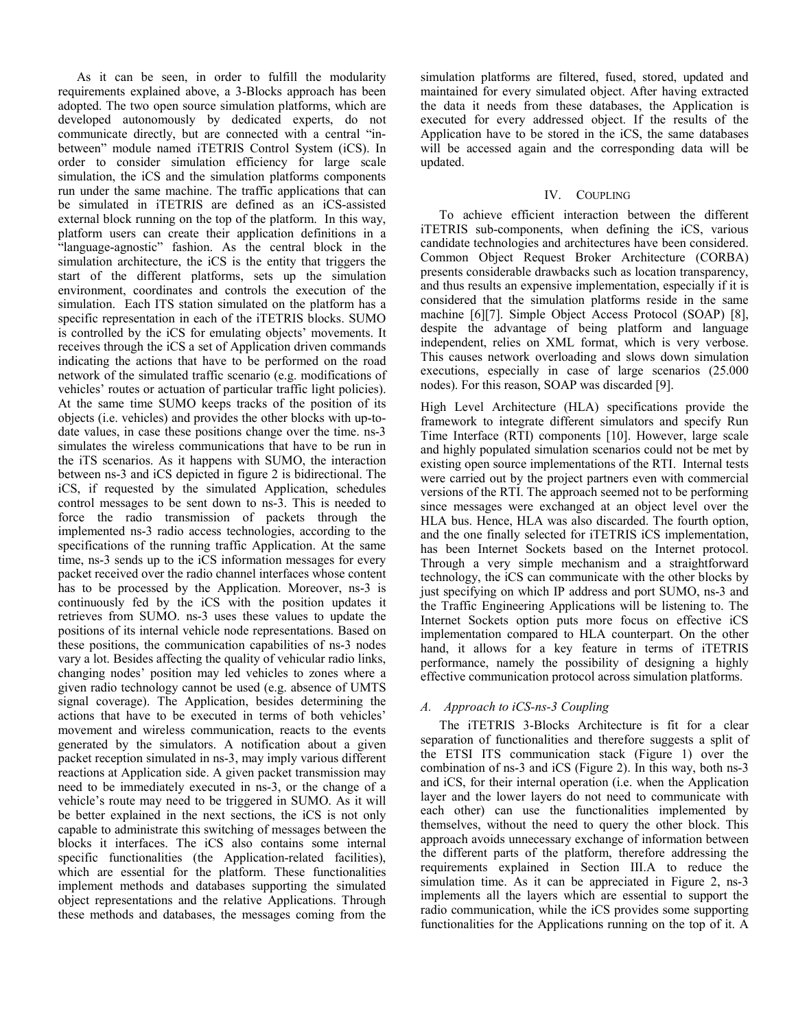As it can be seen, in order to fulfill the modularity requirements explained above, a 3-Blocks approach has been adopted. The two open source simulation platforms, which are developed autonomously by dedicated experts, do not communicate directly, but are connected with a central "inbetween" module named iTETRIS Control System (iCS). In order to consider simulation efficiency for large scale simulation, the iCS and the simulation platforms components run under the same machine. The traffic applications that can be simulated in iTETRIS are defined as an iCS-assisted external block running on the top of the platform. In this way, platform users can create their application definitions in a "language-agnostic" fashion. As the central block in the simulation architecture, the iCS is the entity that triggers the start of the different platforms, sets up the simulation environment, coordinates and controls the execution of the simulation. Each ITS station simulated on the platform has a specific representation in each of the iTETRIS blocks. SUMO is controlled by the iCS for emulating objects' movements. It receives through the iCS a set of Application driven commands indicating the actions that have to be performed on the road network of the simulated traffic scenario (e.g. modifications of vehicles' routes or actuation of particular traffic light policies). At the same time SUMO keeps tracks of the position of its objects (i.e. vehicles) and provides the other blocks with up-todate values, in case these positions change over the time. ns-3 simulates the wireless communications that have to be run in the iTS scenarios. As it happens with SUMO, the interaction between ns-3 and iCS depicted in figure 2 is bidirectional. The iCS, if requested by the simulated Application, schedules control messages to be sent down to ns-3. This is needed to force the radio transmission of packets through the implemented ns-3 radio access technologies, according to the specifications of the running traffic Application. At the same time, ns-3 sends up to the iCS information messages for every packet received over the radio channel interfaces whose content has to be processed by the Application. Moreover, ns-3 is continuously fed by the iCS with the position updates it retrieves from SUMO. ns-3 uses these values to update the positions of its internal vehicle node representations. Based on these positions, the communication capabilities of ns-3 nodes vary a lot. Besides affecting the quality of vehicular radio links, changing nodes' position may led vehicles to zones where a given radio technology cannot be used (e.g. absence of UMTS signal coverage). The Application, besides determining the actions that have to be executed in terms of both vehicles' movement and wireless communication, reacts to the events generated by the simulators. A notification about a given packet reception simulated in ns-3, may imply various different reactions at Application side. A given packet transmission may need to be immediately executed in ns-3, or the change of a vehicle's route may need to be triggered in SUMO. As it will be better explained in the next sections, the iCS is not only capable to administrate this switching of messages between the blocks it interfaces. The iCS also contains some internal specific functionalities (the Application-related facilities), which are essential for the platform. These functionalities implement methods and databases supporting the simulated object representations and the relative Applications. Through these methods and databases, the messages coming from the

simulation platforms are filtered, fused, stored, updated and maintained for every simulated object. After having extracted the data it needs from these databases, the Application is executed for every addressed object. If the results of the Application have to be stored in the iCS, the same databases will be accessed again and the corresponding data will be updated.

## IV. COUPLING

To achieve efficient interaction between the different iTETRIS sub-components, when defining the iCS, various candidate technologies and architectures have been considered. Common Object Request Broker Architecture (CORBA) presents considerable drawbacks such as location transparency, and thus results an expensive implementation, especially if it is considered that the simulation platforms reside in the same machine [6][7]. Simple Object Access Protocol (SOAP) [8], despite the advantage of being platform and language independent, relies on XML format, which is very verbose. This causes network overloading and slows down simulation executions, especially in case of large scenarios (25.000 nodes). For this reason, SOAP was discarded [9].

High Level Architecture (HLA) specifications provide the framework to integrate different simulators and specify Run Time Interface (RTI) components [10]. However, large scale and highly populated simulation scenarios could not be met by existing open source implementations of the RTI. Internal tests were carried out by the project partners even with commercial versions of the RTI. The approach seemed not to be performing since messages were exchanged at an object level over the HLA bus. Hence, HLA was also discarded. The fourth option, and the one finally selected for iTETRIS iCS implementation, has been Internet Sockets based on the Internet protocol. Through a very simple mechanism and a straightforward technology, the iCS can communicate with the other blocks by just specifying on which IP address and port SUMO, ns-3 and the Traffic Engineering Applications will be listening to. The Internet Sockets option puts more focus on effective iCS implementation compared to HLA counterpart. On the other hand, it allows for a key feature in terms of iTETRIS performance, namely the possibility of designing a highly effective communication protocol across simulation platforms.

## A. Approach to iCS-ns-3 Coupling

The iTETRIS 3-Blocks Architecture is fit for a clear separation of functionalities and therefore suggests a split of the ETSI ITS communication stack (Figure 1) over the combination of ns-3 and iCS (Figure 2). In this way, both ns-3 and iCS, for their internal operation (i.e. when the Application layer and the lower layers do not need to communicate with each other) can use the functionalities implemented by themselves, without the need to query the other block. This approach avoids unnecessary exchange of information between the different parts of the platform, therefore addressing the requirements explained in Section III.A to reduce the simulation time. As it can be appreciated in Figure 2, ns-3 implements all the layers which are essential to support the radio communication, while the iCS provides some supporting functionalities for the Applications running on the top of it. A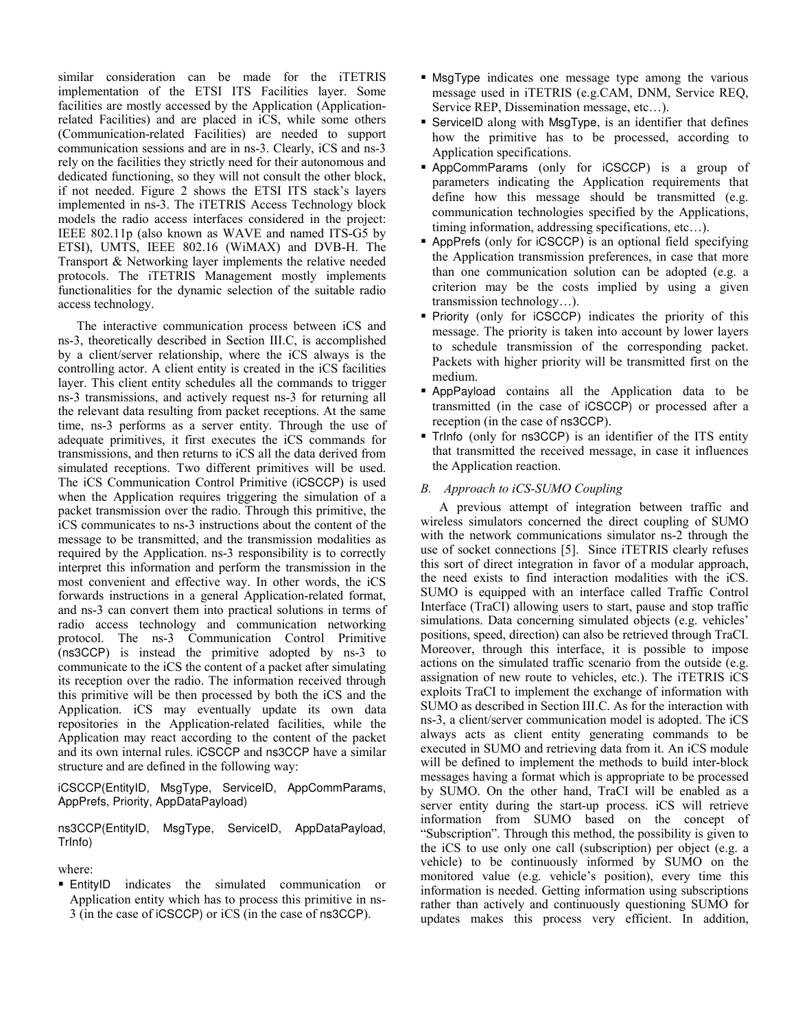similar consideration can be made for the iTETRIS implementation of the ETSI ITS Facilities layer. Some facilities are mostly accessed by the Application (Applicationrelated Facilities) and are placed in iCS, while some others (Communication-related Facilities) are needed to support communication sessions and are in ns-3. Clearly, iCS and ns-3 rely on the facilities they strictly need for their autonomous and dedicated functioning, so they will not consult the other block, if not needed. Figure 2 shows the ETSI ITS stack's layers implemented in ns-3. The iTETRIS Access Technology block models the radio access interfaces considered in the project: IEEE 802.11p (also known as WAVE and named ITS-G5 by ETSI), UMTS, IEEE 802.16 (WiMAX) and DVB-H. The Transport & Networking layer implements the relative needed protocols. The iTETRIS Management mostly implements functionalities for the dynamic selection of the suitable radio access technology.

The interactive communication process between iCS and ns-3, theoretically described in Section III.C, is accomplished by a client/server relationship, where the iCS always is the controlling actor. A client entity is created in the iCS facilities layer. This client entity schedules all the commands to trigger ns-3 transmissions, and actively request ns-3 for returning all the relevant data resulting from packet receptions. At the same time, ns-3 performs as a server entity. Through the use of adequate primitives, it first executes the iCS commands for transmissions, and then returns to iCS all the data derived from simulated receptions. Two different primitives will be used. The iCS Communication Control Primitive (iCSCCP) is used when the Application requires triggering the simulation of a packet transmission over the radio. Through this primitive, the iCS communicates to ns-3 instructions about the content of the message to be transmitted, and the transmission modalities as required by the Application. ns-3 responsibility is to correctly interpret this information and perform the transmission in the most convenient and effective way. In other words, the iCS forwards instructions in a general Application-related format, and ns-3 can convert them into practical solutions in terms of radio access technology and communication networking protocol. The ns-3 Communication Control Primitive (ns3CCP) is instead the primitive adopted by ns-3 to communicate to the iCS the content of a packet after simulating its reception over the radio. The information received through this primitive will be then processed by both the iCS and the Application. iCS may eventually update its own data repositories in the Application-related facilities, while the Application may react according to the content of the packet and its own internal rules. iCSCCP and ns3CCP have a similar structure and are defined in the following way:

iCSCCP(EntityID, MsgType, ServiceID, AppCommParams, AppPrefs, Priority, AppDataPayload)

ns3CCP(EntityID, MsgType, ServiceID, AppDataPayload, TrInfo)

where:

 EntityID indicates the simulated communication or Application entity which has to process this primitive in ns-3 (in the case of iCSCCP) or iCS (in the case of ns3CCP).

- MsgType indicates one message type among the various message used in iTETRIS (e.g.CAM, DNM, Service REQ, Service REP, Dissemination message, etc…).
- ServiceID along with MsgType, is an identifier that defines how the primitive has to be processed, according to Application specifications.
- AppCommParams (only for iCSCCP) is a group of parameters indicating the Application requirements that define how this message should be transmitted (e.g. communication technologies specified by the Applications, timing information, addressing specifications, etc…).
- AppPrefs (only for iCSCCP) is an optional field specifying the Application transmission preferences, in case that more than one communication solution can be adopted (e.g. a criterion may be the costs implied by using a given transmission technology…).
- **Priority** (only for iCSCCP) indicates the priority of this message. The priority is taken into account by lower layers to schedule transmission of the corresponding packet. Packets with higher priority will be transmitted first on the medium.
- AppPayload contains all the Application data to be transmitted (in the case of iCSCCP) or processed after a reception (in the case of ns3CCP).
- TrInfo (only for ns3CCP) is an identifier of the ITS entity that transmitted the received message, in case it influences the Application reaction.

# B. Approach to iCS-SUMO Coupling

A previous attempt of integration between traffic and wireless simulators concerned the direct coupling of SUMO with the network communications simulator ns-2 through the use of socket connections [5]. Since iTETRIS clearly refuses this sort of direct integration in favor of a modular approach, the need exists to find interaction modalities with the iCS. SUMO is equipped with an interface called Traffic Control Interface (TraCI) allowing users to start, pause and stop traffic simulations. Data concerning simulated objects (e.g. vehicles' positions, speed, direction) can also be retrieved through TraCI. Moreover, through this interface, it is possible to impose actions on the simulated traffic scenario from the outside (e.g. assignation of new route to vehicles, etc.). The iTETRIS iCS exploits TraCI to implement the exchange of information with SUMO as described in Section III.C. As for the interaction with ns-3, a client/server communication model is adopted. The iCS always acts as client entity generating commands to be executed in SUMO and retrieving data from it. An iCS module will be defined to implement the methods to build inter-block messages having a format which is appropriate to be processed by SUMO. On the other hand, TraCI will be enabled as a server entity during the start-up process. iCS will retrieve information from SUMO based on the concept of "Subscription". Through this method, the possibility is given to the iCS to use only one call (subscription) per object (e.g. a vehicle) to be continuously informed by SUMO on the monitored value (e.g. vehicle's position), every time this information is needed. Getting information using subscriptions rather than actively and continuously questioning SUMO for updates makes this process very efficient. In addition,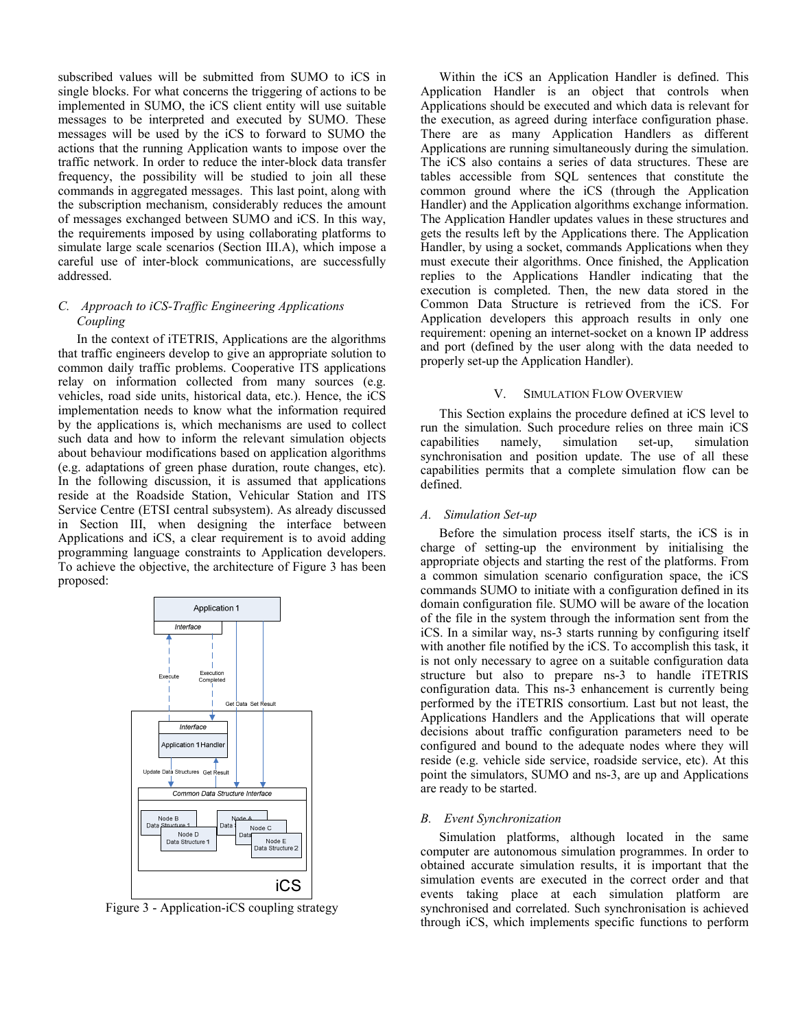subscribed values will be submitted from SUMO to iCS in single blocks. For what concerns the triggering of actions to be implemented in SUMO, the iCS client entity will use suitable messages to be interpreted and executed by SUMO. These messages will be used by the iCS to forward to SUMO the actions that the running Application wants to impose over the traffic network. In order to reduce the inter-block data transfer frequency, the possibility will be studied to join all these commands in aggregated messages. This last point, along with the subscription mechanism, considerably reduces the amount of messages exchanged between SUMO and iCS. In this way, the requirements imposed by using collaborating platforms to simulate large scale scenarios (Section III.A), which impose a careful use of inter-block communications, are successfully addressed.

# C. Approach to iCS-Traffic Engineering Applications Coupling

In the context of iTETRIS, Applications are the algorithms that traffic engineers develop to give an appropriate solution to common daily traffic problems. Cooperative ITS applications relay on information collected from many sources (e.g. vehicles, road side units, historical data, etc.). Hence, the iCS implementation needs to know what the information required by the applications is, which mechanisms are used to collect such data and how to inform the relevant simulation objects about behaviour modifications based on application algorithms (e.g. adaptations of green phase duration, route changes, etc). In the following discussion, it is assumed that applications reside at the Roadside Station, Vehicular Station and ITS Service Centre (ETSI central subsystem). As already discussed in Section III, when designing the interface between Applications and iCS, a clear requirement is to avoid adding programming language constraints to Application developers. To achieve the objective, the architecture of Figure 3 has been proposed:



Figure 3 - Application-iCS coupling strategy

Within the iCS an Application Handler is defined. This Application Handler is an object that controls when Applications should be executed and which data is relevant for the execution, as agreed during interface configuration phase. There are as many Application Handlers as different Applications are running simultaneously during the simulation. The iCS also contains a series of data structures. These are tables accessible from SQL sentences that constitute the common ground where the iCS (through the Application Handler) and the Application algorithms exchange information. The Application Handler updates values in these structures and gets the results left by the Applications there. The Application Handler, by using a socket, commands Applications when they must execute their algorithms. Once finished, the Application replies to the Applications Handler indicating that the execution is completed. Then, the new data stored in the Common Data Structure is retrieved from the iCS. For Application developers this approach results in only one requirement: opening an internet-socket on a known IP address and port (defined by the user along with the data needed to properly set-up the Application Handler).

## V. SIMULATION FLOW OVERVIEW

This Section explains the procedure defined at iCS level to run the simulation. Such procedure relies on three main iCS capabilities namely, simulation set-up, simulation synchronisation and position update. The use of all these capabilities permits that a complete simulation flow can be defined.

## A. Simulation Set-up

Before the simulation process itself starts, the iCS is in charge of setting-up the environment by initialising the appropriate objects and starting the rest of the platforms. From a common simulation scenario configuration space, the iCS commands SUMO to initiate with a configuration defined in its domain configuration file. SUMO will be aware of the location of the file in the system through the information sent from the iCS. In a similar way, ns-3 starts running by configuring itself with another file notified by the iCS. To accomplish this task, it is not only necessary to agree on a suitable configuration data structure but also to prepare ns-3 to handle iTETRIS configuration data. This ns-3 enhancement is currently being performed by the iTETRIS consortium. Last but not least, the Applications Handlers and the Applications that will operate decisions about traffic configuration parameters need to be configured and bound to the adequate nodes where they will reside (e.g. vehicle side service, roadside service, etc). At this point the simulators, SUMO and ns-3, are up and Applications are ready to be started.

## B. Event Synchronization

Simulation platforms, although located in the same computer are autonomous simulation programmes. In order to obtained accurate simulation results, it is important that the simulation events are executed in the correct order and that events taking place at each simulation platform are synchronised and correlated. Such synchronisation is achieved through iCS, which implements specific functions to perform